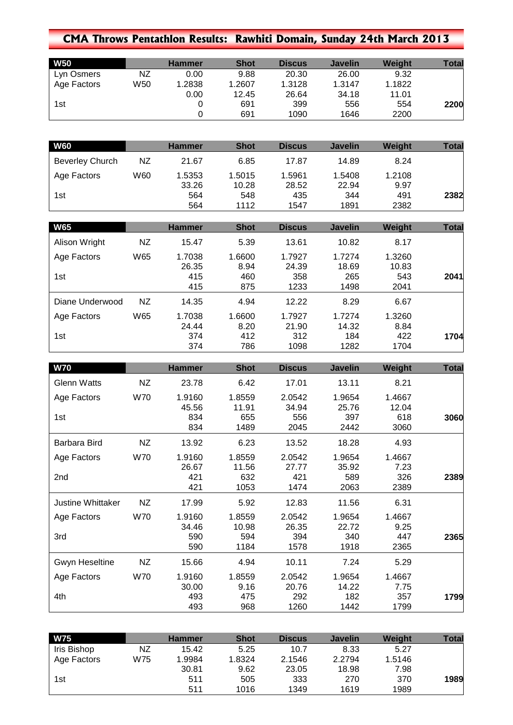## **CMA Throws Pentathlon Results: Rawhiti Domain, Sunday 24th March 2013**

| <b>W50</b>  |     | <b>Hammer</b> | <b>Shot</b> | <b>Discus</b> | <b>Javelin</b> | <b>Weight</b> | <b>Total</b> |
|-------------|-----|---------------|-------------|---------------|----------------|---------------|--------------|
| Lyn Osmers  | NZ  | 0.00          | 9.88        | 20.30         | 26.00          | 9.32          |              |
| Age Factors | W50 | 1.2838        | .2607       | 1.3128        | 1.3147         | 1.1822        |              |
|             |     | 0.00          | 12.45       | 26.64         | 34.18          | 11.01         |              |
| 1st         |     |               | 691         | 399           | 556            | 554           | 2200         |
|             |     |               | 691         | 1090          | 1646           | 2200          |              |

| <b>W60</b>             |     | <b>Hammer</b> | <b>Shot</b> | <b>Discus</b> | <b>Javelin</b> | Weight | Total |
|------------------------|-----|---------------|-------------|---------------|----------------|--------|-------|
| <b>Beverley Church</b> | ΝZ  | 21.67         | 6.85        | 17.87         | 14.89          | 8.24   |       |
| Age Factors            | W60 | 1.5353        | 1.5015      | 1.5961        | 1.5408         | 1.2108 |       |
|                        |     | 33.26         | 10.28       | 28.52         | 22.94          | 9.97   |       |
| 1st                    |     | 564           | 548         | 435           | 344            | 491    | 2382  |
|                        |     | 564           | 1112        | 1547          | 1891           | 2382   |       |

| <b>W65</b>      |     | <b>Hammer</b>   | <b>Shot</b>    | <b>Discus</b>   | <b>Javelin</b>  | Weight          | <b>Total</b> |
|-----------------|-----|-----------------|----------------|-----------------|-----------------|-----------------|--------------|
| Alison Wright   | NZ  | 15.47           | 5.39           | 13.61           | 10.82           | 8.17            |              |
| Age Factors     | W65 | 1.7038<br>26.35 | 1.6600<br>8.94 | 1.7927<br>24.39 | 1.7274<br>18.69 | 1.3260<br>10.83 |              |
| 1st             |     | 415<br>415      | 460<br>875     | 358<br>1233     | 265<br>1498     | 543<br>2041     | 2041         |
| Diane Underwood | ΝZ  | 14.35           | 4.94           | 12.22           | 8.29            | 6.67            |              |
| Age Factors     | W65 | 1.7038          | 1.6600         | 1.7927          | 1.7274          | 1.3260          |              |
|                 |     | 24.44           | 8.20           | 21.90           | 14.32           | 8.84            |              |
| 1st             |     | 374             | 412            | 312             | 184             | 422             | 1704         |
|                 |     | 374             | 786            | 1098            | 1282            | 1704            |              |

| <b>W70</b>               |            | <b>Hammer</b>       | <b>Shot</b>        | <b>Discus</b>        | <b>Javelin</b>       | Weight              | <b>Total</b> |
|--------------------------|------------|---------------------|--------------------|----------------------|----------------------|---------------------|--------------|
| <b>Glenn Watts</b>       | NZ         | 23.78               | 6.42               | 17.01                | 13.11                | 8.21                |              |
| Age Factors              | W70        | 1.9160<br>45.56     | 1.8559<br>11.91    | 2.0542<br>34.94      | 1.9654<br>25.76      | 1.4667<br>12.04     |              |
| 1st                      |            | 834<br>834          | 655<br>1489        | 556<br>2045          | 397<br>2442          | 618<br>3060         | 3060         |
| Barbara Bird             | NZ         | 13.92               | 6.23               | 13.52                | 18.28                | 4.93                |              |
| Age Factors              | <b>W70</b> | 1.9160<br>26.67     | 1.8559<br>11.56    | 2.0542<br>27.77      | 1.9654<br>35.92      | 1.4667<br>7.23      |              |
| 2nd                      |            | 421<br>421          | 632<br>1053        | 421<br>1474          | 589<br>2063          | 326<br>2389         | 2389         |
| <b>Justine Whittaker</b> | NZ         | 17.99               | 5.92               | 12.83                | 11.56                | 6.31                |              |
| Age Factors              | <b>W70</b> | 1.9160<br>34.46     | 1.8559<br>10.98    | 2.0542<br>26.35      | 1.9654<br>22.72      | 1.4667<br>9.25      |              |
| 3rd                      |            | 590<br>590          | 594<br>1184        | 394<br>1578          | 340<br>1918          | 447<br>2365         | 2365         |
| Gwyn Heseltine           | <b>NZ</b>  | 15.66               | 4.94               | 10.11                | 7.24                 | 5.29                |              |
| Age Factors              | W70        | 1.9160              | 1.8559             | 2.0542               | 1.9654               | 1.4667              |              |
| 4th                      |            | 30.00<br>493<br>493 | 9.16<br>475<br>968 | 20.76<br>292<br>1260 | 14.22<br>182<br>1442 | 7.75<br>357<br>1799 | 1799         |

| <b>W75</b>  |     | <b>Hammer</b> | <b>Shot</b> | <b>Discus</b> | <b>Javelin</b> | Weight | Total |
|-------------|-----|---------------|-------------|---------------|----------------|--------|-------|
| Iris Bishop | NZ  | 15.42         | 5.25        | 10.7          | 8.33           | 5.27   |       |
| Age Factors | W75 | 1.9984        | 1.8324      | 2.1546        | 2.2794         | 1.5146 |       |
|             |     | 30.81         | 9.62        | 23.05         | 18.98          | 7.98   |       |
| 1st         |     | 511           | 505         | 333           | 270            | 370    | 1989  |
|             |     | 511           | 1016        | 1349          | 1619           | 1989   |       |